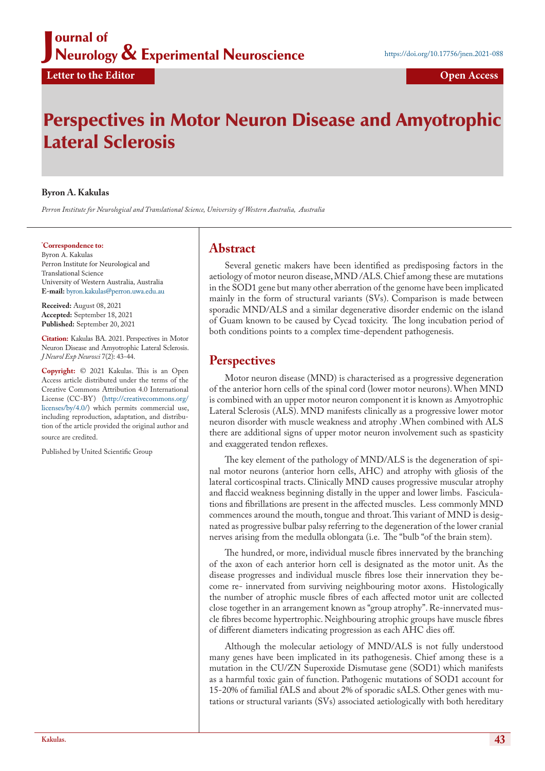## J ournal of Neurology & Experimental Neuroscience

**Letter to the Editor Contract Contract Contract Contract Contract Contract Contract Contract Contract Contract Contract Contract Contract Contract Contract Contract Contract Contract Contract Contract Contract Contract** 

# Perspectives in Motor Neuron Disease and Amyotrophic Lateral Sclerosis

### **Byron A. Kakulas**

*Perron Institute for Neurological and Translational Science, University of Western Australia, Australia* 

#### **\* Correspondence to:**

Byron A. Kakulas Perron Institute for Neurological and Translational Science University of Western Australia, Australia **E-mail:** <byron.kakulas@perron.uwa.edu.au>

**Received:** August 08, 2021 **Accepted:** September 18, 2021 **Published:** September 20, 2021

**Citation:** Kakulas BA. 2021. Perspectives in Motor Neuron Disease and Amyotrophic Lateral Sclerosis. *J Neurol Exp Neurosci* 7(2): 43-44.

**Copyright:** © 2021 Kakulas. This is an Open Access article distributed under the terms of the Creative Commons Attribution 4.0 International License (CC-BY) ([http://creativecommons.org/](http://creativecommons.org/licenses/by/4.0/) [licenses/by/4.0/](http://creativecommons.org/licenses/by/4.0/)) which permits commercial use, including reproduction, adaptation, and distribution of the article provided the original author and source are credited.

Published by United Scientific Group

## **Abstract**

Several genetic makers have been identified as predisposing factors in the aetiology of motor neuron disease, MND /ALS. Chief among these are mutations in the SOD1 gene but many other aberration of the genome have been implicated mainly in the form of structural variants (SVs). Comparison is made between sporadic MND/ALS and a similar degenerative disorder endemic on the island of Guam known to be caused by Cycad toxicity. The long incubation period of both conditions points to a complex time-dependent pathogenesis.

## **Perspectives**

Motor neuron disease (MND) is characterised as a progressive degeneration of the anterior horn cells of the spinal cord (lower motor neurons). When MND is combined with an upper motor neuron component it is known as Amyotrophic Lateral Sclerosis (ALS). MND manifests clinically as a progressive lower motor neuron disorder with muscle weakness and atrophy .When combined with ALS there are additional signs of upper motor neuron involvement such as spasticity and exaggerated tendon reflexes.

The key element of the pathology of MND/ALS is the degeneration of spinal motor neurons (anterior horn cells, AHC) and atrophy with gliosis of the lateral corticospinal tracts. Clinically MND causes progressive muscular atrophy and flaccid weakness beginning distally in the upper and lower limbs. Fasciculations and fibrillations are present in the affected muscles. Less commonly MND commences around the mouth, tongue and throat. This variant of MND is designated as progressive bulbar palsy referring to the degeneration of the lower cranial nerves arising from the medulla oblongata (i.e. The "bulb "of the brain stem).

The hundred, or more, individual muscle fibres innervated by the branching of the axon of each anterior horn cell is designated as the motor unit. As the disease progresses and individual muscle fibres lose their innervation they become re- innervated from surviving neighbouring motor axons. Histologically the number of atrophic muscle fibres of each affected motor unit are collected close together in an arrangement known as "group atrophy". Re-innervated muscle fibres become hypertrophic. Neighbouring atrophic groups have muscle fibres of different diameters indicating progression as each AHC dies off.

Although the molecular aetiology of MND/ALS is not fully understood many genes have been implicated in its pathogenesis. Chief among these is a mutation in the CU/ZN Superoxide Dismutase gene (SOD1) which manifests as a harmful toxic gain of function. Pathogenic mutations of SOD1 account for 15-20% of familial fALS and about 2% of sporadic sALS. Other genes with mutations or structural variants (SVs) associated aetiologically with both hereditary